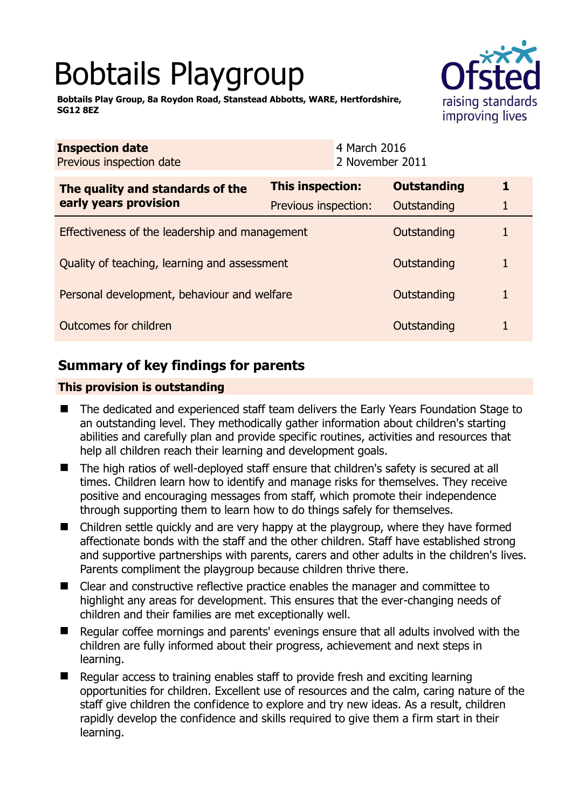# Bobtails Playgroup

**Bobtails Play Group, 8a Roydon Road, Stanstead Abbotts, WARE, Hertfordshire, SG12 8EZ** 



| <b>Inspection date</b><br>Previous inspection date        |                      | 4 March 2016<br>2 November 2011 |                    |  |
|-----------------------------------------------------------|----------------------|---------------------------------|--------------------|--|
| The quality and standards of the<br>early years provision | This inspection:     |                                 | <b>Outstanding</b> |  |
|                                                           | Previous inspection: |                                 | Outstanding        |  |
| Effectiveness of the leadership and management            |                      |                                 | Outstanding        |  |
| Quality of teaching, learning and assessment              |                      |                                 | Outstanding        |  |
| Personal development, behaviour and welfare               |                      |                                 | Outstanding        |  |
| Outcomes for children                                     |                      |                                 | Outstanding        |  |

# **Summary of key findings for parents**

## **This provision is outstanding**

- The dedicated and experienced staff team delivers the Early Years Foundation Stage to an outstanding level. They methodically gather information about children's starting abilities and carefully plan and provide specific routines, activities and resources that help all children reach their learning and development goals.
- The high ratios of well-deployed staff ensure that children's safety is secured at all times. Children learn how to identify and manage risks for themselves. They receive positive and encouraging messages from staff, which promote their independence through supporting them to learn how to do things safely for themselves.
- Children settle quickly and are very happy at the playgroup, where they have formed affectionate bonds with the staff and the other children. Staff have established strong and supportive partnerships with parents, carers and other adults in the children's lives. Parents compliment the playgroup because children thrive there.
- Clear and constructive reflective practice enables the manager and committee to highlight any areas for development. This ensures that the ever-changing needs of children and their families are met exceptionally well.
- Regular coffee mornings and parents' evenings ensure that all adults involved with the children are fully informed about their progress, achievement and next steps in learning.
- Regular access to training enables staff to provide fresh and exciting learning opportunities for children. Excellent use of resources and the calm, caring nature of the staff give children the confidence to explore and try new ideas. As a result, children rapidly develop the confidence and skills required to give them a firm start in their learning.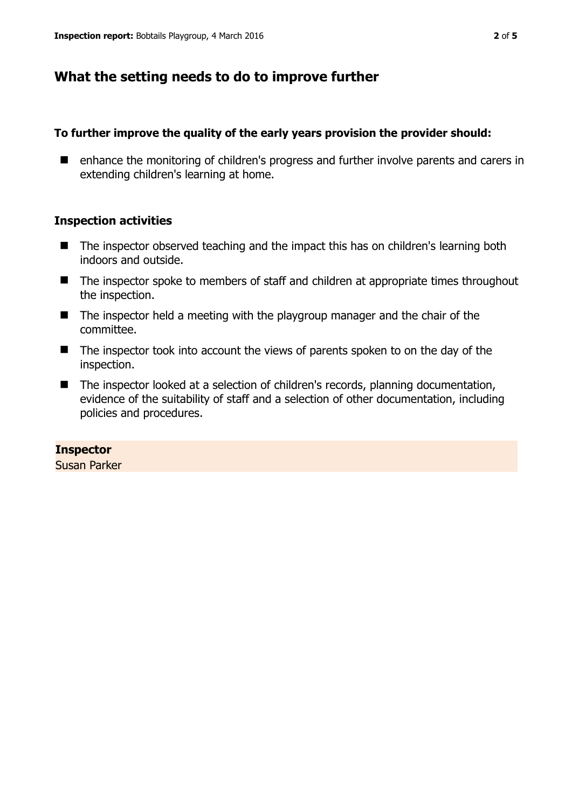## **What the setting needs to do to improve further**

#### **To further improve the quality of the early years provision the provider should:**

■ enhance the monitoring of children's progress and further involve parents and carers in extending children's learning at home.

## **Inspection activities**

- The inspector observed teaching and the impact this has on children's learning both indoors and outside.
- The inspector spoke to members of staff and children at appropriate times throughout the inspection.
- The inspector held a meeting with the playgroup manager and the chair of the committee.
- The inspector took into account the views of parents spoken to on the day of the inspection.
- The inspector looked at a selection of children's records, planning documentation, evidence of the suitability of staff and a selection of other documentation, including policies and procedures.

#### **Inspector**

Susan Parker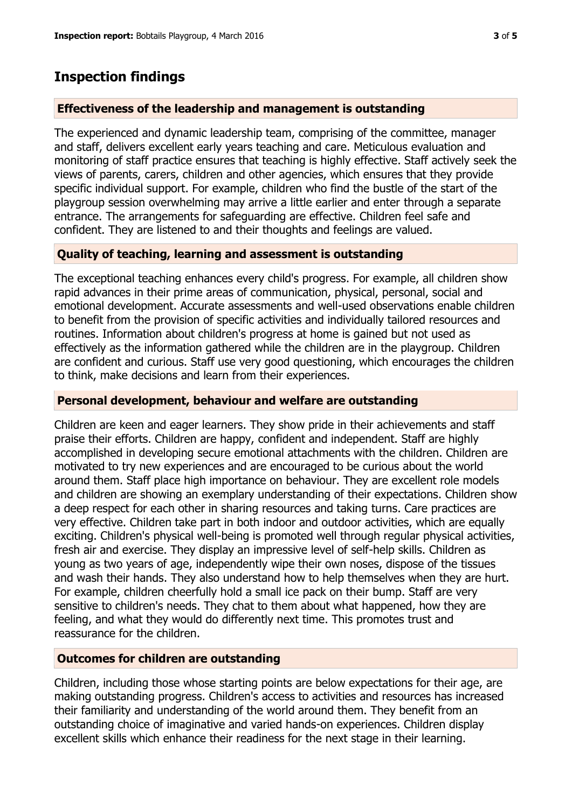## **Inspection findings**

#### **Effectiveness of the leadership and management is outstanding**

The experienced and dynamic leadership team, comprising of the committee, manager and staff, delivers excellent early years teaching and care. Meticulous evaluation and monitoring of staff practice ensures that teaching is highly effective. Staff actively seek the views of parents, carers, children and other agencies, which ensures that they provide specific individual support. For example, children who find the bustle of the start of the playgroup session overwhelming may arrive a little earlier and enter through a separate entrance. The arrangements for safeguarding are effective. Children feel safe and confident. They are listened to and their thoughts and feelings are valued.

## **Quality of teaching, learning and assessment is outstanding**

The exceptional teaching enhances every child's progress. For example, all children show rapid advances in their prime areas of communication, physical, personal, social and emotional development. Accurate assessments and well-used observations enable children to benefit from the provision of specific activities and individually tailored resources and routines. Information about children's progress at home is gained but not used as effectively as the information gathered while the children are in the playgroup. Children are confident and curious. Staff use very good questioning, which encourages the children to think, make decisions and learn from their experiences.

#### **Personal development, behaviour and welfare are outstanding**

Children are keen and eager learners. They show pride in their achievements and staff praise their efforts. Children are happy, confident and independent. Staff are highly accomplished in developing secure emotional attachments with the children. Children are motivated to try new experiences and are encouraged to be curious about the world around them. Staff place high importance on behaviour. They are excellent role models and children are showing an exemplary understanding of their expectations. Children show a deep respect for each other in sharing resources and taking turns. Care practices are very effective. Children take part in both indoor and outdoor activities, which are equally exciting. Children's physical well-being is promoted well through regular physical activities, fresh air and exercise. They display an impressive level of self-help skills. Children as young as two years of age, independently wipe their own noses, dispose of the tissues and wash their hands. They also understand how to help themselves when they are hurt. For example, children cheerfully hold a small ice pack on their bump. Staff are very sensitive to children's needs. They chat to them about what happened, how they are feeling, and what they would do differently next time. This promotes trust and reassurance for the children.

## **Outcomes for children are outstanding**

Children, including those whose starting points are below expectations for their age, are making outstanding progress. Children's access to activities and resources has increased their familiarity and understanding of the world around them. They benefit from an outstanding choice of imaginative and varied hands-on experiences. Children display excellent skills which enhance their readiness for the next stage in their learning.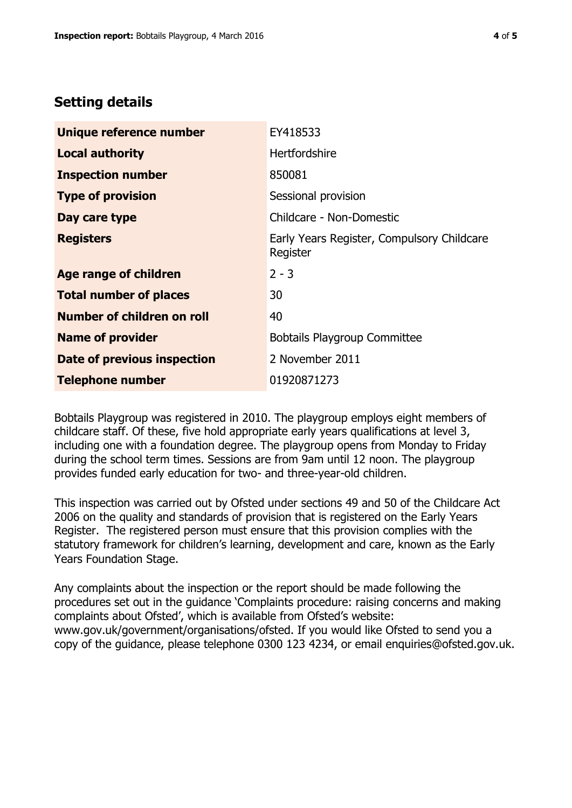## **Setting details**

| Unique reference number       | EY418533                                               |  |
|-------------------------------|--------------------------------------------------------|--|
| <b>Local authority</b>        | <b>Hertfordshire</b>                                   |  |
| <b>Inspection number</b>      | 850081                                                 |  |
| <b>Type of provision</b>      | Sessional provision                                    |  |
| Day care type                 | Childcare - Non-Domestic                               |  |
| <b>Registers</b>              | Early Years Register, Compulsory Childcare<br>Register |  |
| Age range of children         | $2 - 3$                                                |  |
| <b>Total number of places</b> | 30                                                     |  |
| Number of children on roll    | 40                                                     |  |
| <b>Name of provider</b>       | <b>Bobtails Playgroup Committee</b>                    |  |
| Date of previous inspection   | 2 November 2011                                        |  |
| <b>Telephone number</b>       | 01920871273                                            |  |

Bobtails Playgroup was registered in 2010. The playgroup employs eight members of childcare staff. Of these, five hold appropriate early years qualifications at level 3, including one with a foundation degree. The playgroup opens from Monday to Friday during the school term times. Sessions are from 9am until 12 noon. The playgroup provides funded early education for two- and three-year-old children.

This inspection was carried out by Ofsted under sections 49 and 50 of the Childcare Act 2006 on the quality and standards of provision that is registered on the Early Years Register. The registered person must ensure that this provision complies with the statutory framework for children's learning, development and care, known as the Early Years Foundation Stage.

Any complaints about the inspection or the report should be made following the procedures set out in the guidance 'Complaints procedure: raising concerns and making complaints about Ofsted', which is available from Ofsted's website: www.gov.uk/government/organisations/ofsted. If you would like Ofsted to send you a copy of the guidance, please telephone 0300 123 4234, or email enquiries@ofsted.gov.uk.